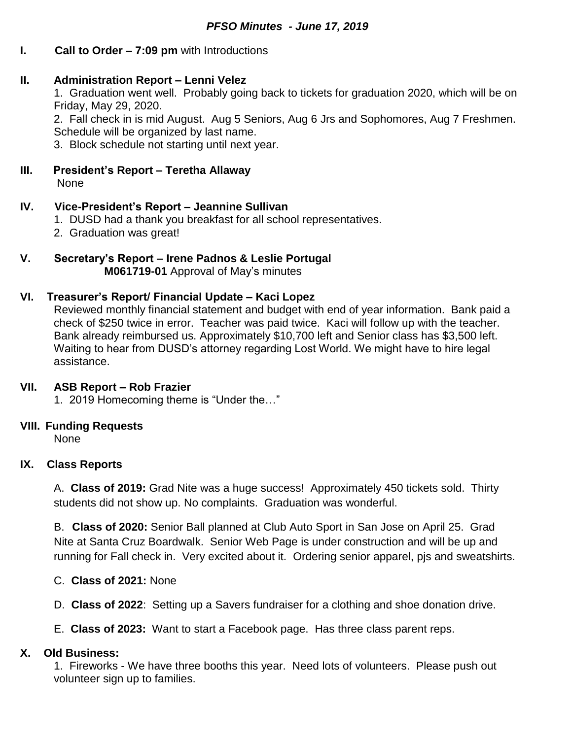# **I. Call to Order – 7:09 pm** with Introductions

## **II. Administration Report – Lenni Velez**

1. Graduation went well. Probably going back to tickets for graduation 2020, which will be on Friday, May 29, 2020.

2. Fall check in is mid August. Aug 5 Seniors, Aug 6 Jrs and Sophomores, Aug 7 Freshmen. Schedule will be organized by last name.

3. Block schedule not starting until next year.

#### **III. President's Report – Teretha Allaway** None

### **IV. Vice-President's Report – Jeannine Sullivan**

- 1. DUSD had a thank you breakfast for all school representatives.
- 2. Graduation was great!
- **V. Secretary's Report – Irene Padnos & Leslie Portugal M061719-01** Approval of May's minutes

### **VI. Treasurer's Report/ Financial Update – Kaci Lopez**

Reviewed monthly financial statement and budget with end of year information. Bank paid a check of \$250 twice in error. Teacher was paid twice. Kaci will follow up with the teacher. Bank already reimbursed us. Approximately \$10,700 left and Senior class has \$3,500 left. Waiting to hear from DUSD's attorney regarding Lost World. We might have to hire legal assistance.

### **VII. ASB Report – Rob Frazier**

1. 2019 Homecoming theme is "Under the…"

### **VIII. Funding Requests**

None

# **IX. Class Reports**

A. **Class of 2019:** Grad Nite was a huge success! Approximately 450 tickets sold. Thirty students did not show up. No complaints. Graduation was wonderful.

B. **Class of 2020:** Senior Ball planned at Club Auto Sport in San Jose on April 25. Grad Nite at Santa Cruz Boardwalk. Senior Web Page is under construction and will be up and running for Fall check in. Very excited about it. Ordering senior apparel, pjs and sweatshirts.

C. **Class of 2021:** None

D. **Class of 2022**: Setting up a Savers fundraiser for a clothing and shoe donation drive.

E. **Class of 2023:** Want to start a Facebook page. Has three class parent reps.

# **X. Old Business:**

1. Fireworks - We have three booths this year. Need lots of volunteers. Please push out volunteer sign up to families.